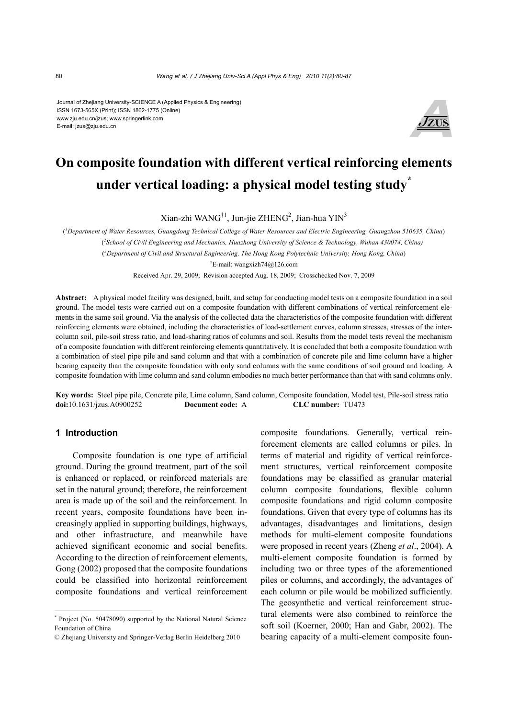#### Journal of Zhejiang University-SCIENCE A (Applied Physics & Engineering) ISSN 1673-565X (Print); ISSN 1862-1775 (Online) www.zju.edu.cn/jzus; www.springerlink.com E-mail: jzus@zju.edu.cn



# **On composite foundation with different vertical reinforcing elements under vertical loading: a physical model testing study\***

Xian-zhi WANG<sup>†1</sup>, Jun-jie ZHENG<sup>2</sup>, Jian-hua YIN<sup>3</sup>

( *1 Department of Water Resources, Guangdong Technical College of Water Resources and Electric Engineering, Guangzhou 510635, China*) ( *2 School of Civil Engineering and Mechanics, Huazhong University of Science & Technology, Wuhan 430074, China)*  ( *3 Department of Civil and Structural Engineering, The Hong Kong Polytechnic University, Hong Kong, China*) † E-mail: wangxizh74@126.com

Received Apr. 29, 2009; Revision accepted Aug. 18, 2009; Crosschecked Nov. 7, 2009

**Abstract:** A physical model facility was designed, built, and setup for conducting model tests on a composite foundation in a soil ground. The model tests were carried out on a composite foundation with different combinations of vertical reinforcement elements in the same soil ground. Via the analysis of the collected data the characteristics of the composite foundation with different reinforcing elements were obtained, including the characteristics of load-settlement curves, column stresses, stresses of the intercolumn soil, pile-soil stress ratio, and load-sharing ratios of columns and soil. Results from the model tests reveal the mechanism of a composite foundation with different reinforcing elements quantitatively. It is concluded that both a composite foundation with a combination of steel pipe pile and sand column and that with a combination of concrete pile and lime column have a higher bearing capacity than the composite foundation with only sand columns with the same conditions of soil ground and loading. A composite foundation with lime column and sand column embodies no much better performance than that with sand columns only.

**Key words:** Steel pipe pile, Concrete pile, Lime column, Sand column, Composite foundation, Model test, Pile-soil stress ratio **doi:**10.1631/jzus.A0900252 **Document code:** A **CLC number:** TU473

# **1 Introduction**

Composite foundation is one type of artificial ground. During the ground treatment, part of the soil is enhanced or replaced, or reinforced materials are set in the natural ground; therefore, the reinforcement area is made up of the soil and the reinforcement. In recent years, composite foundations have been increasingly applied in supporting buildings, highways, and other infrastructure, and meanwhile have achieved significant economic and social benefits. According to the direction of reinforcement elements, Gong (2002) proposed that the composite foundations could be classified into horizontal reinforcement composite foundations and vertical reinforcement composite foundations. Generally, vertical reinforcement elements are called columns or piles. In terms of material and rigidity of vertical reinforcement structures, vertical reinforcement composite foundations may be classified as granular material column composite foundations, flexible column composite foundations and rigid column composite foundations. Given that every type of columns has its advantages, disadvantages and limitations, design methods for multi-element composite foundations were proposed in recent years (Zheng *et al*., 2004). A multi-element composite foundation is formed by including two or three types of the aforementioned piles or columns, and accordingly, the advantages of each column or pile would be mobilized sufficiently. The geosynthetic and vertical reinforcement structural elements were also combined to reinforce the soft soil (Koerner, 2000; Han and Gabr, 2002). The bearing capacity of a multi-element composite foun-

<sup>\*</sup> Project (No. 50478090) supported by the National Natural Science Foundation of China

<sup>©</sup> Zhejiang University and Springer-Verlag Berlin Heidelberg 2010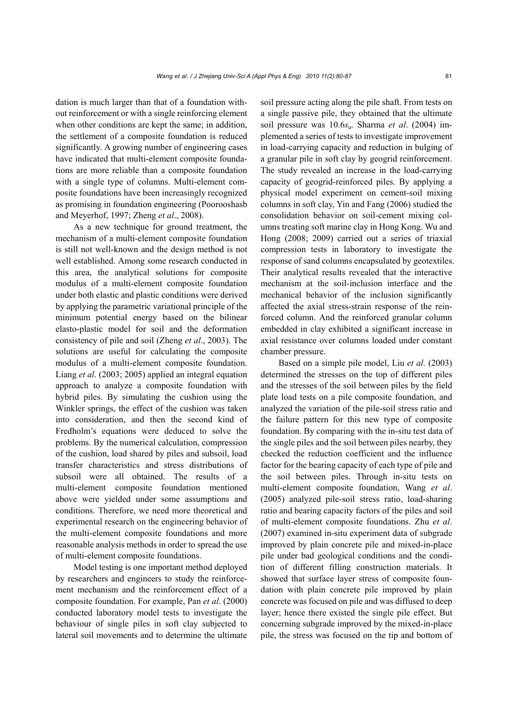dation is much larger than that of a foundation without reinforcement or with a single reinforcing element when other conditions are kept the same; in addition, the settlement of a composite foundation is reduced significantly. A growing number of engineering cases have indicated that multi-element composite foundations are more reliable than a composite foundation with a single type of columns. Multi-element composite foundations have been increasingly recognized as promising in foundation engineering (Poorooshasb and Meyerhof, 1997; Zheng *et al*., 2008).

As a new technique for ground treatment, the mechanism of a multi-element composite foundation is still not well-known and the design method is not well established. Among some research conducted in this area, the analytical solutions for composite modulus of a multi-element composite foundation under both elastic and plastic conditions were derived by applying the parametric variational principle of the minimum potential energy based on the bilinear elasto-plastic model for soil and the deformation consistency of pile and soil (Zheng *et al*., 2003). The solutions are useful for calculating the composite modulus of a multi-element composite foundation. Liang *et al*. (2003; 2005) applied an integral equation approach to analyze a composite foundation with hybrid piles. By simulating the cushion using the Winkler springs, the effect of the cushion was taken into consideration, and then the second kind of Fredholm's equations were deduced to solve the problems. By the numerical calculation, compression of the cushion, load shared by piles and subsoil, load transfer characteristics and stress distributions of subsoil were all obtained. The results of a multi-element composite foundation mentioned above were yielded under some assumptions and conditions. Therefore, we need more theoretical and experimental research on the engineering behavior of the multi-element composite foundations and more reasonable analysis methods in order to spread the use of multi-element composite foundations.

Model testing is one important method deployed by researchers and engineers to study the reinforcement mechanism and the reinforcement effect of a composite foundation. For example, Pan *et al*. (2000) conducted laboratory model tests to investigate the behaviour of single piles in soft clay subjected to lateral soil movements and to determine the ultimate

soil pressure acting along the pile shaft. From tests on a single passive pile, they obtained that the ultimate soil pressure was 10.6*s*u. Sharma *et al*. (2004) implemented a series of tests to investigate improvement in load-carrying capacity and reduction in bulging of a granular pile in soft clay by geogrid reinforcement. The study revealed an increase in the load-carrying capacity of geogrid-reinforced piles. By applying a physical model experiment on cement-soil mixing columns in soft clay, Yin and Fang (2006) studied the consolidation behavior on soil-cement mixing columns treating soft marine clay in Hong Kong. Wu and Hong (2008; 2009) carried out a series of triaxial compression tests in laboratory to investigate the response of sand columns encapsulated by geotextiles. Their analytical results revealed that the interactive mechanism at the soil-inclusion interface and the mechanical behavior of the inclusion significantly affected the axial stress-strain response of the reinforced column. And the reinforced granular column embedded in clay exhibited a significant increase in axial resistance over columns loaded under constant chamber pressure.

Based on a simple pile model, Liu *et al*. (2003) determined the stresses on the top of different piles and the stresses of the soil between piles by the field plate load tests on a pile composite foundation, and analyzed the variation of the pile-soil stress ratio and the failure pattern for this new type of composite foundation. By comparing with the in-situ test data of the single piles and the soil between piles nearby, they checked the reduction coefficient and the influence factor for the bearing capacity of each type of pile and the soil between piles. Through in-situ tests on multi-element composite foundation, Wang *et al*. (2005) analyzed pile-soil stress ratio, load-sharing ratio and bearing capacity factors of the piles and soil of multi-element composite foundations. Zhu *et al*. (2007) examined in-situ experiment data of subgrade improved by plain concrete pile and mixed-in-place pile under bad geological conditions and the condition of different filling construction materials. It showed that surface layer stress of composite foundation with plain concrete pile improved by plain concrete was focused on pile and was diffused to deep layer; hence there existed the single pile effect. But concerning subgrade improved by the mixed-in-place pile, the stress was focused on the tip and bottom of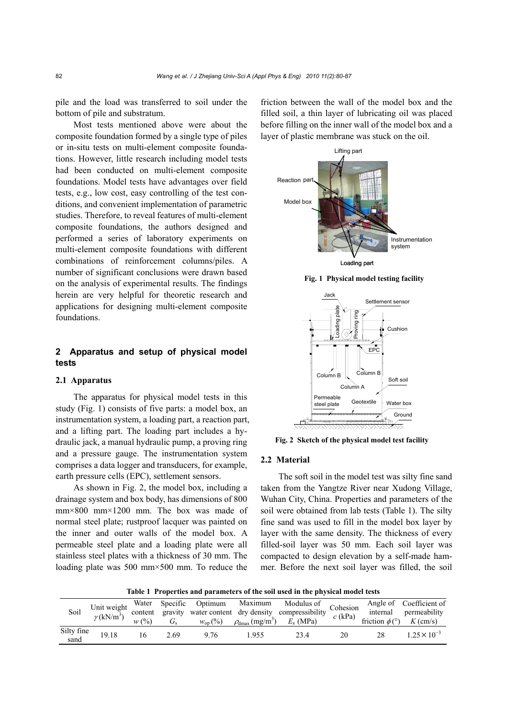pile and the load was transferred to soil under the bottom of pile and substratum.

Most tests mentioned above were about the composite foundation formed by a single type of piles or in-situ tests on multi-element composite foundations. However, little research including model tests had been conducted on multi-element composite foundations. Model tests have advantages over field tests, e.g., low cost, easy controlling of the test conditions, and convenient implementation of parametric studies. Therefore, to reveal features of multi-element composite foundations, the authors designed and performed a series of laboratory experiments on multi-element composite foundations with different combinations of reinforcement columns/piles. A number of significant conclusions were drawn based on the analysis of experimental results. The findings herein are very helpful for theoretic research and applications for designing multi-element composite foundations.

# **2 Apparatus and setup of physical model tests**

## **2.1 Apparatus**

The apparatus for physical model tests in this study (Fig. 1) consists of five parts: a model box, an instrumentation system, a loading part, a reaction part, and a lifting part. The loading part includes a hydraulic jack, a manual hydraulic pump, a proving ring and a pressure gauge. The instrumentation system comprises a data logger and transducers, for example, earth pressure cells (EPC), settlement sensors.

As shown in Fig. 2, the model box, including a drainage system and box body, has dimensions of 800 mm×800 mm×1200 mm. The box was made of normal steel plate; rustproof lacquer was painted on the inner and outer walls of the model box. A permeable steel plate and a loading plate were all stainless steel plates with a thickness of 30 mm. The loading plate was 500 mm×500 mm. To reduce the friction between the wall of the model box and the filled soil, a thin layer of lubricating oil was placed before filling on the inner wall of the model box and a layer of plastic membrane was stuck on the oil.



Loading part

**Fig. 1 Physical model testing facility**



**Fig. 2 Sketch of the physical model test facility**

#### **2.2 Material**

The soft soil in the model test was silty fine sand taken from the Yangtze River near Xudong Village, Wuhan City, China. Properties and parameters of the soil were obtained from lab tests (Table 1). The silty fine sand was used to fill in the model box layer by layer with the same density. The thickness of every filled-soil layer was 50 mm. Each soil layer was compacted to design elevation by a self-made hammer. Before the next soil layer was filled, the soil

**Table 1 Properties and parameters of the soil used in the physical model tests** 

| Soil               | Unit weight<br>$\gamma$ (kN/m <sup>3</sup> ) | Water<br>content<br>w(%) | Specific<br>G, | Optimum<br>$W_{\rm op}$ (%) | $\rho_{\rm dmax}$ (mg/m <sup>3</sup> ) | Maximum Modulus of Cohesion And<br>gravity water content dry density compressibility<br>$E_s$ (MPa) | $c$ (kPa) | internal<br>friction $\phi$ (°) | Angle of Coefficient of<br>permeability<br>$K \, \text{(cm/s)}$ |
|--------------------|----------------------------------------------|--------------------------|----------------|-----------------------------|----------------------------------------|-----------------------------------------------------------------------------------------------------|-----------|---------------------------------|-----------------------------------------------------------------|
| Silty fine<br>sand | 19.18                                        | l 6                      | 2.69           | 9.76                        | l.955                                  | 23.4                                                                                                | 20        | 28                              | $1.25 \times 10^{-3}$                                           |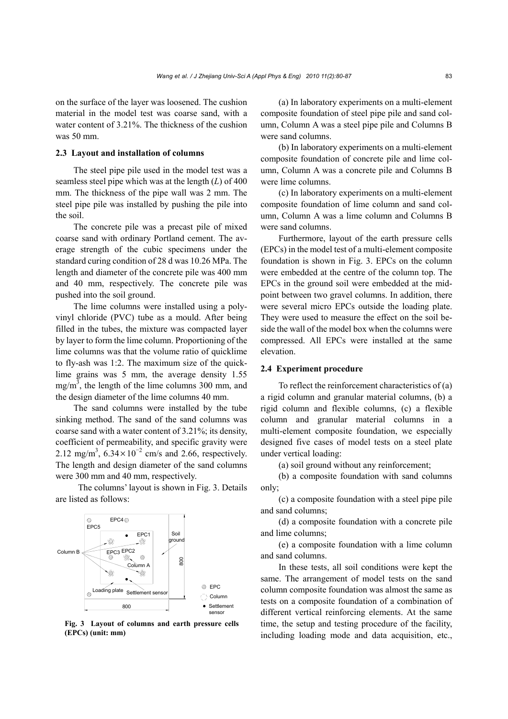on the surface of the layer was loosened. The cushion material in the model test was coarse sand, with a water content of 3.21%. The thickness of the cushion was 50 mm.

## **2.3 Layout and installation of columns**

The steel pipe pile used in the model test was a seamless steel pipe which was at the length (*L*) of 400 mm. The thickness of the pipe wall was 2 mm. The steel pipe pile was installed by pushing the pile into the soil.

The concrete pile was a precast pile of mixed coarse sand with ordinary Portland cement. The average strength of the cubic specimens under the standard curing condition of 28 d was 10.26 MPa. The length and diameter of the concrete pile was 400 mm and 40 mm, respectively. The concrete pile was pushed into the soil ground.

The lime columns were installed using a polyvinyl chloride (PVC) tube as a mould. After being filled in the tubes, the mixture was compacted layer by layer to form the lime column. Proportioning of the lime columns was that the volume ratio of quicklime to fly-ash was 1:2. The maximum size of the quicklime grains was 5 mm, the average density 1.55  $mg/m<sup>3</sup>$ , the length of the lime columns 300 mm, and the design diameter of the lime columns 40 mm.

The sand columns were installed by the tube sinking method. The sand of the sand columns was coarse sand with a water content of 3.21%; its density, coefficient of permeability, and specific gravity were 2.12 mg/m<sup>3</sup>,  $6.34 \times 10^{-2}$  cm/s and 2.66, respectively. The length and design diameter of the sand columns were 300 mm and 40 mm, respectively.

The columns' layout is shown in Fig. 3. Details are listed as follows:



**Fig. 3 Layout of columns and earth pressure cells (EPCs) (unit: mm)** 

(a) In laboratory experiments on a multi-element composite foundation of steel pipe pile and sand column, Column A was a steel pipe pile and Columns B were sand columns.

(b) In laboratory experiments on a multi-element composite foundation of concrete pile and lime column, Column A was a concrete pile and Columns B were lime columns.

(c) In laboratory experiments on a multi-element composite foundation of lime column and sand column, Column A was a lime column and Columns B were sand columns.

Furthermore, layout of the earth pressure cells (EPCs) in the model test of a multi-element composite foundation is shown in Fig. 3. EPCs on the column were embedded at the centre of the column top. The EPCs in the ground soil were embedded at the midpoint between two gravel columns. In addition, there were several micro EPCs outside the loading plate. They were used to measure the effect on the soil beside the wall of the model box when the columns were compressed. All EPCs were installed at the same elevation.

## **2.4 Experiment procedure**

To reflect the reinforcement characteristics of (a) a rigid column and granular material columns, (b) a rigid column and flexible columns, (c) a flexible column and granular material columns in a multi-element composite foundation, we especially designed five cases of model tests on a steel plate under vertical loading:

(a) soil ground without any reinforcement;

(b) a composite foundation with sand columns only;

(c) a composite foundation with a steel pipe pile and sand columns;

(d) a composite foundation with a concrete pile and lime columns;

(e) a composite foundation with a lime column and sand columns.

In these tests, all soil conditions were kept the same. The arrangement of model tests on the sand column composite foundation was almost the same as tests on a composite foundation of a combination of different vertical reinforcing elements. At the same time, the setup and testing procedure of the facility, including loading mode and data acquisition, etc.,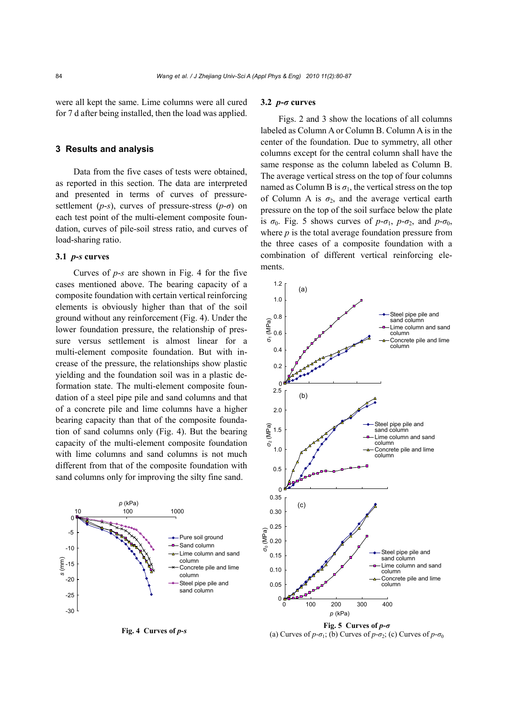were all kept the same. Lime columns were all cured for 7 d after being installed, then the load was applied.

# **3 Results and analysis**

Data from the five cases of tests were obtained, as reported in this section. The data are interpreted and presented in terms of curves of pressuresettlement (*p*-*s*), curves of pressure-stress (*p*-*σ*) on each test point of the multi-element composite foundation, curves of pile-soil stress ratio, and curves of load-sharing ratio.

# **3.1** *p***-***s* **curves**

Curves of *p*-*s* are shown in Fig. 4 for the five cases mentioned above. The bearing capacity of a composite foundation with certain vertical reinforcing elements is obviously higher than that of the soil ground without any reinforcement (Fig. 4). Under the lower foundation pressure, the relationship of pressure versus settlement is almost linear for a multi-element composite foundation. But with increase of the pressure, the relationships show plastic yielding and the foundation soil was in a plastic deformation state. The multi-element composite foundation of a steel pipe pile and sand columns and that of a concrete pile and lime columns have a higher bearing capacity than that of the composite foundation of sand columns only (Fig. 4). But the bearing capacity of the multi-element composite foundation with lime columns and sand columns is not much different from that of the composite foundation with sand columns only for improving the silty fine sand.



**Fig. 4 Curves of** *p***-***s*

## **3.2** *p***-***σ* **curves**

Figs. 2 and 3 show the locations of all columns labeled as Column A or Column B. Column A is in the center of the foundation. Due to symmetry, all other columns except for the central column shall have the same response as the column labeled as Column B. The average vertical stress on the top of four columns named as Column B is  $\sigma_1$ , the vertical stress on the top of Column A is  $\sigma_2$ , and the average vertical earth pressure on the top of the soil surface below the plate is  $\sigma_0$ . Fig. 5 shows curves of *p*- $\sigma_1$ , *p*- $\sigma_2$ , and *p*- $\sigma_0$ , where  $p$  is the total average foundation pressure from the three cases of a composite foundation with a combination of different vertical reinforcing elements.



(a) Curves of  $p$ - $\sigma_1$ ; (b) Curves of  $p$ - $\sigma_2$ ; (c) Curves of  $p$ - $\sigma_0$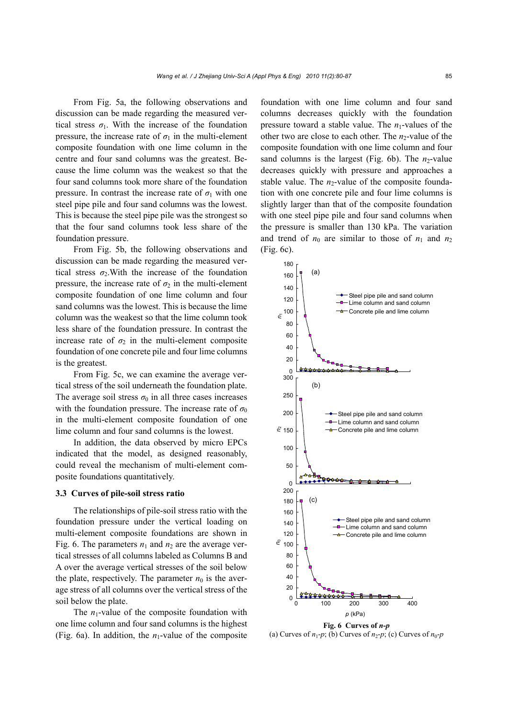From Fig. 5a, the following observations and discussion can be made regarding the measured vertical stress  $\sigma_1$ . With the increase of the foundation pressure, the increase rate of  $\sigma_1$  in the multi-element composite foundation with one lime column in the centre and four sand columns was the greatest. Because the lime column was the weakest so that the four sand columns took more share of the foundation pressure. In contrast the increase rate of  $\sigma_1$  with one steel pipe pile and four sand columns was the lowest. This is because the steel pipe pile was the strongest so that the four sand columns took less share of the foundation pressure.

From Fig. 5b, the following observations and discussion can be made regarding the measured vertical stress  $\sigma_2$ . With the increase of the foundation pressure, the increase rate of  $\sigma_2$  in the multi-element composite foundation of one lime column and four sand columns was the lowest. This is because the lime column was the weakest so that the lime column took less share of the foundation pressure. In contrast the increase rate of  $\sigma_2$  in the multi-element composite foundation of one concrete pile and four lime columns is the greatest.

From Fig. 5c, we can examine the average vertical stress of the soil underneath the foundation plate. The average soil stress  $\sigma_0$  in all three cases increases with the foundation pressure. The increase rate of  $\sigma_0$ in the multi-element composite foundation of one lime column and four sand columns is the lowest.

In addition, the data observed by micro EPCs indicated that the model, as designed reasonably, could reveal the mechanism of multi-element composite foundations quantitatively.

#### **3.3 Curves of pile-soil stress ratio**

The relationships of pile-soil stress ratio with the foundation pressure under the vertical loading on multi-element composite foundations are shown in Fig. 6. The parameters  $n_1$  and  $n_2$  are the average vertical stresses of all columns labeled as Columns B and A over the average vertical stresses of the soil below the plate, respectively. The parameter  $n_0$  is the average stress of all columns over the vertical stress of the soil below the plate.

The  $n_1$ -value of the composite foundation with one lime column and four sand columns is the highest (Fig. 6a). In addition, the  $n_1$ -value of the composite foundation with one lime column and four sand columns decreases quickly with the foundation pressure toward a stable value. The  $n_1$ -values of the other two are close to each other. The *n*<sub>2</sub>-value of the composite foundation with one lime column and four sand columns is the largest (Fig. 6b). The  $n_2$ -value decreases quickly with pressure and approaches a stable value. The  $n_2$ -value of the composite foundation with one concrete pile and four lime columns is slightly larger than that of the composite foundation with one steel pipe pile and four sand columns when the pressure is smaller than 130 kPa. The variation and trend of  $n_0$  are similar to those of  $n_1$  and  $n_2$ (Fig. 6c).



(a) Curves of  $n_1$ - $p$ ; (b) Curves of  $n_2$ - $p$ ; (c) Curves of  $n_0$ - $p$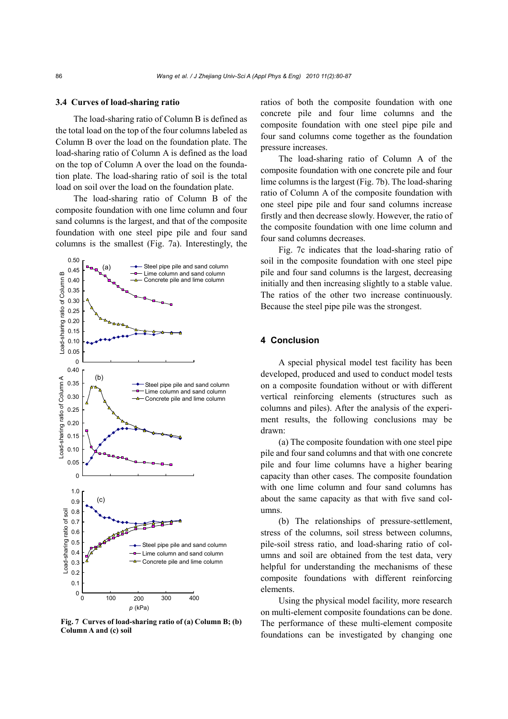#### **3.4 Curves of load-sharing ratio**

The load-sharing ratio of Column B is defined as the total load on the top of the four columns labeled as Column B over the load on the foundation plate. The load-sharing ratio of Column A is defined as the load on the top of Column A over the load on the foundation plate. The load-sharing ratio of soil is the total load on soil over the load on the foundation plate.

The load-sharing ratio of Column B of the composite foundation with one lime column and four sand columns is the largest, and that of the composite foundation with one steel pipe pile and four sand columns is the smallest (Fig. 7a). Interestingly, the



**Fig. 7 Curves of load-sharing ratio of (a) Column B; (b) Column A and (c) soil** 

ratios of both the composite foundation with one concrete pile and four lime columns and the composite foundation with one steel pipe pile and four sand columns come together as the foundation pressure increases.

The load-sharing ratio of Column A of the composite foundation with one concrete pile and four lime columns is the largest (Fig. 7b). The load-sharing ratio of Column A of the composite foundation with one steel pipe pile and four sand columns increase firstly and then decrease slowly. However, the ratio of the composite foundation with one lime column and four sand columns decreases.

Fig. 7c indicates that the load-sharing ratio of soil in the composite foundation with one steel pipe pile and four sand columns is the largest, decreasing initially and then increasing slightly to a stable value. The ratios of the other two increase continuously. Because the steel pipe pile was the strongest.

## **4 Conclusion**

A special physical model test facility has been developed, produced and used to conduct model tests on a composite foundation without or with different vertical reinforcing elements (structures such as columns and piles). After the analysis of the experiment results, the following conclusions may be drawn:

(a) The composite foundation with one steel pipe pile and four sand columns and that with one concrete pile and four lime columns have a higher bearing capacity than other cases. The composite foundation with one lime column and four sand columns has about the same capacity as that with five sand columns.

(b) The relationships of pressure-settlement, stress of the columns, soil stress between columns, pile-soil stress ratio, and load-sharing ratio of columns and soil are obtained from the test data, very helpful for understanding the mechanisms of these composite foundations with different reinforcing elements.

Using the physical model facility, more research on multi-element composite foundations can be done. The performance of these multi-element composite foundations can be investigated by changing one